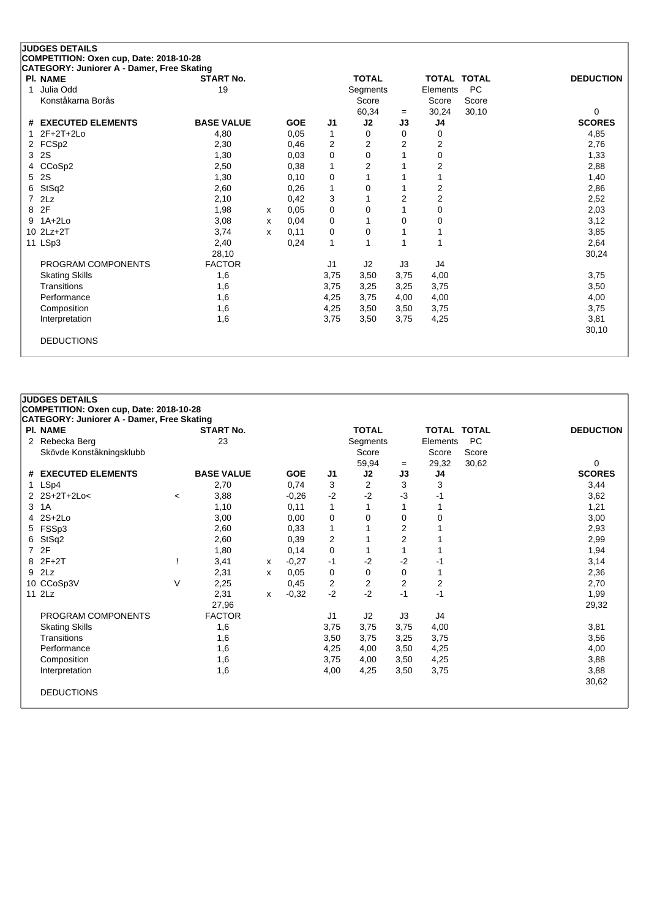| <b>JUDGES DETAILS</b>                                                                 |                   |              |            |      |              |                |                         |                    |                  |
|---------------------------------------------------------------------------------------|-------------------|--------------|------------|------|--------------|----------------|-------------------------|--------------------|------------------|
| COMPETITION: Oxen cup, Date: 2018-10-28<br>CATEGORY: Juniorer A - Damer, Free Skating |                   |              |            |      |              |                |                         |                    |                  |
| <b>PI. NAME</b>                                                                       | <b>START No.</b>  |              |            |      | <b>TOTAL</b> |                |                         | <b>TOTAL TOTAL</b> | <b>DEDUCTION</b> |
| Julia Odd<br>1                                                                        | 19                |              |            |      | Segments     |                | Elements                | <b>PC</b>          |                  |
| Konståkarna Borås                                                                     |                   |              |            |      | Score        |                | Score                   | Score              |                  |
|                                                                                       |                   |              |            |      | 60,34        | $=$            | 30,24                   | 30,10              | 0                |
| # EXECUTED ELEMENTS                                                                   | <b>BASE VALUE</b> |              | <b>GOE</b> | J1   | J2           | J3             | J4                      |                    | <b>SCORES</b>    |
| $2F+2T+2Lo$                                                                           | 4,80              |              | 0.05       | 1    | 0            | $\Omega$       | 0                       |                    | 4,85             |
| 2 FCSp2                                                                               | 2,30              |              | 0,46       | 2    | 2            | $\overline{2}$ | 2                       |                    | 2,76             |
| <b>2S</b><br>3                                                                        | 1,30              |              | 0.03       | 0    | 0            |                | 0                       |                    | 1,33             |
| CCoSp2<br>4                                                                           | 2,50              |              | 0,38       | 1    | 2            |                | 2                       |                    | 2,88             |
| 2S<br>5                                                                               | 1,30              |              | 0,10       | 0    |              |                |                         |                    | 1,40             |
| StSq2<br>6                                                                            | 2,60              |              | 0,26       | 1    | 0            |                | 2                       |                    | 2,86             |
| 2Lz<br>7                                                                              | 2,10              |              | 0,42       | 3    |              | $\overline{2}$ | $\overline{\mathbf{c}}$ |                    | 2,52             |
| 2F<br>8                                                                               | 1,98              | $\mathsf{x}$ | 0,05       | 0    | 0            |                | 0                       |                    | 2,03             |
| $1A+2Lo$<br>9                                                                         | 3,08              | x            | 0,04       | 0    |              | $\Omega$       | 0                       |                    | 3,12             |
| 10 2Lz+2T                                                                             | 3,74              | x            | 0.11       | 0    | 0            |                |                         |                    | 3,85             |
| 11 LSp3                                                                               | 2,40              |              | 0,24       | 1    |              |                |                         |                    | 2,64             |
|                                                                                       | 28,10             |              |            |      |              |                |                         |                    | 30,24            |
| PROGRAM COMPONENTS                                                                    | <b>FACTOR</b>     |              |            | J1   | J2           | J3             | J4                      |                    |                  |
| <b>Skating Skills</b>                                                                 | 1,6               |              |            | 3,75 | 3,50         | 3,75           | 4,00                    |                    | 3,75             |
| Transitions                                                                           | 1,6               |              |            | 3,75 | 3,25         | 3,25           | 3,75                    |                    | 3,50             |
| Performance                                                                           | 1,6               |              |            | 4,25 | 3,75         | 4,00           | 4,00                    |                    | 4,00             |
| Composition                                                                           | 1,6               |              |            | 4,25 | 3,50         | 3,50           | 3,75                    |                    | 3,75             |
| Interpretation                                                                        | 1,6               |              |            | 3,75 | 3,50         | 3,75           | 4,25                    |                    | 3,81             |
|                                                                                       |                   |              |            |      |              |                |                         |                    | 30,10            |
| <b>DEDUCTIONS</b>                                                                     |                   |              |            |      |              |                |                         |                    |                  |
|                                                                                       |                   |              |            |      |              |                |                         |                    |                  |

## **JUDGES DETAILS**

## **COMPETITION: Oxen cup, Date: 2018-10-28**

| PI. NAME                 |         | <b>START No.</b>  |   |            |      | <b>TOTAL</b> |                | <b>TOTAL TOTAL</b> |           | <b>DEDUCTION</b> |
|--------------------------|---------|-------------------|---|------------|------|--------------|----------------|--------------------|-----------|------------------|
| 2 Rebecka Berg           |         | 23                |   |            |      | Segments     |                | Elements           | <b>PC</b> |                  |
| Skövde Konståkningsklubb |         |                   |   |            |      | Score        |                | Score              | Score     |                  |
|                          |         |                   |   |            |      | 59,94        | $=$            | 29,32              | 30,62     | 0                |
| # EXECUTED ELEMENTS      |         | <b>BASE VALUE</b> |   | <b>GOE</b> | J1   | J2           | J3             | J4                 |           | <b>SCORES</b>    |
| 1 LSp4                   |         | 2,70              |   | 0,74       | 3    | 2            | 3              | 3                  |           | 3,44             |
| 2 2S+2T+2Lo<             | $\,<\,$ | 3,88              |   | $-0,26$    | $-2$ | $-2$         | -3             | -1                 |           | 3,62             |
| 3 1A                     |         | 1,10              |   | 0,11       | 1    |              |                |                    |           | 1,21             |
| $4$ 2S+2Lo               |         | 3,00              |   | 0,00       | 0    | $\Omega$     | $\Omega$       | 0                  |           | 3,00             |
| 5 FSSp3                  |         | 2,60              |   | 0,33       | 1    |              | 2              |                    |           | 2,93             |
| 6 StSq2                  |         | 2,60              |   | 0,39       | 2    |              | $\overline{2}$ |                    |           | 2,99             |
| 7 2F                     |         | 1,80              |   | 0,14       | 0    |              |                |                    |           | 1,94             |
| 8 2F+2T                  |         | 3,41              | х | $-0,27$    | -1   | $-2$         | $-2$           | -1                 |           | 3,14             |
| 9 2Lz                    |         | 2,31              | x | 0,05       | 0    | 0            | 0              |                    |           | 2,36             |
| 10 CCoSp3V               | V       | 2,25              |   | 0,45       | 2    | 2            | $\overline{2}$ | $\overline{2}$     |           | 2,70             |
| 11 2Lz                   |         | 2,31              | x | $-0.32$    | $-2$ | $-2$         | $-1$           | -1                 |           | 1,99             |
|                          |         | 27,96             |   |            |      |              |                |                    |           | 29,32            |
| PROGRAM COMPONENTS       |         | <b>FACTOR</b>     |   |            | J1   | J2           | J3             | J4                 |           |                  |
| <b>Skating Skills</b>    |         | 1,6               |   |            | 3,75 | 3,75         | 3,75           | 4,00               |           | 3,81             |
| Transitions              |         | 1,6               |   |            | 3,50 | 3,75         | 3,25           | 3,75               |           | 3,56             |
| Performance              |         | 1,6               |   |            | 4,25 | 4,00         | 3,50           | 4,25               |           | 4,00             |
| Composition              |         | 1,6               |   |            | 3,75 | 4,00         | 3,50           | 4,25               |           | 3,88             |
| Interpretation           |         | 1,6               |   |            | 4,00 | 4,25         | 3,50           | 3,75               |           | 3,88             |
|                          |         |                   |   |            |      |              |                |                    |           | 30,62            |
| <b>DEDUCTIONS</b>        |         |                   |   |            |      |              |                |                    |           |                  |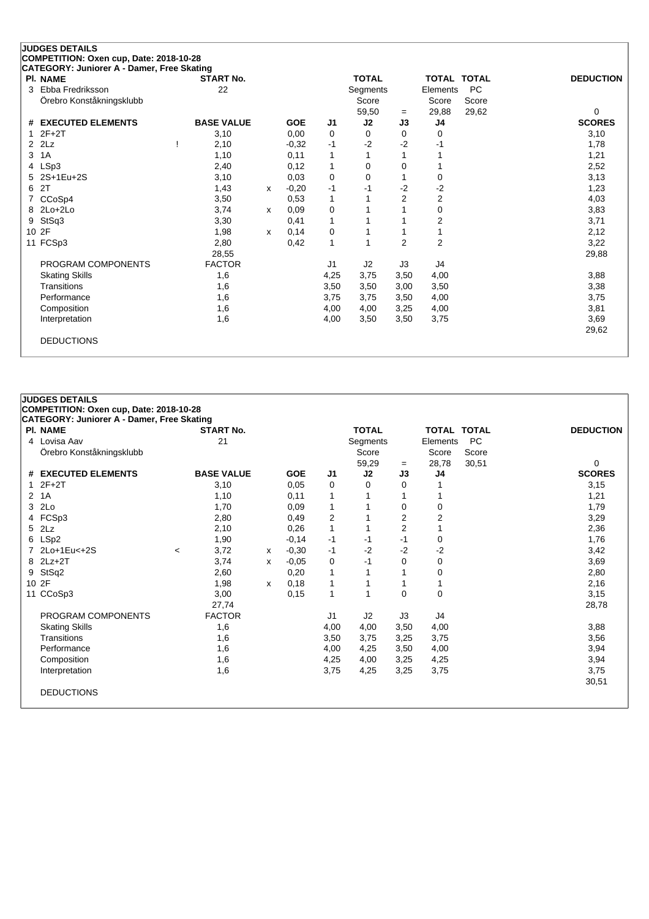|   | <b>JUDGES DETAILS</b>                                         |                   |   |            |                |              |                |                    |           |                  |
|---|---------------------------------------------------------------|-------------------|---|------------|----------------|--------------|----------------|--------------------|-----------|------------------|
|   | COMPETITION: Oxen cup, Date: 2018-10-28                       |                   |   |            |                |              |                |                    |           |                  |
|   | CATEGORY: Juniorer A - Damer, Free Skating<br><b>PI. NAME</b> | <b>START No.</b>  |   |            |                | <b>TOTAL</b> |                | <b>TOTAL TOTAL</b> |           | <b>DEDUCTION</b> |
| 3 | Ebba Fredriksson                                              | 22                |   |            |                | Segments     |                | Elements           | <b>PC</b> |                  |
|   | Örebro Konståkningsklubb                                      |                   |   |            |                | Score        |                | Score              | Score     |                  |
|   |                                                               |                   |   |            |                | 59,50        | $=$            | 29,88              | 29,62     | 0                |
| # | <b>EXECUTED ELEMENTS</b>                                      | <b>BASE VALUE</b> |   | <b>GOE</b> | J <sub>1</sub> | J2           | J3             | J4                 |           | <b>SCORES</b>    |
|   | $2F+2T$                                                       | 3,10              |   | 0,00       | 0              | 0            | 0              | 0                  |           | 3,10             |
| 2 | 2Lz                                                           | 2,10              |   | $-0.32$    | $-1$           | $-2$         | $-2$           | -1                 |           | 1,78             |
| 3 | 1A                                                            | 1,10              |   | 0,11       | 1              |              |                |                    |           | 1,21             |
| 4 | LSp3                                                          | 2,40              |   | 0,12       | 1              | 0            | 0              |                    |           | 2,52             |
| 5 | 2S+1Eu+2S                                                     | 3,10              |   | 0,03       | 0              | 0            |                | 0                  |           | 3,13             |
| 6 | 2T                                                            | 1,43              | x | $-0,20$    | $-1$           | -1           | $-2$           | $-2$               |           | 1,23             |
|   | CCoSp4                                                        | 3,50              |   | 0,53       | $\mathbf 1$    |              | $\overline{2}$ | 2                  |           | 4,03             |
| 8 | $2Lo+2Lo$                                                     | 3,74              | X | 0,09       | 0              |              |                | 0                  |           | 3,83             |
| 9 | StSq3                                                         | 3,30              |   | 0,41       | 1              |              |                | 2                  |           | 3,71             |
|   | 10 2F                                                         | 1,98              | x | 0,14       | 0              |              |                |                    |           | 2,12             |
|   | 11 FCSp3                                                      | 2,80              |   | 0,42       | $\mathbf{1}$   |              | $\overline{2}$ | $\overline{2}$     |           | 3,22             |
|   |                                                               | 28,55             |   |            |                |              |                |                    |           | 29,88            |
|   | PROGRAM COMPONENTS                                            | <b>FACTOR</b>     |   |            | J1             | J2           | J3             | J4                 |           |                  |
|   | <b>Skating Skills</b>                                         | 1,6               |   |            | 4,25           | 3,75         | 3,50           | 4,00               |           | 3,88             |
|   | Transitions                                                   | 1,6               |   |            | 3,50           | 3,50         | 3,00           | 3,50               |           | 3,38             |
|   | Performance                                                   | 1,6               |   |            | 3,75           | 3,75         | 3,50           | 4,00               |           | 3,75             |
|   | Composition                                                   | 1,6               |   |            | 4,00           | 4,00         | 3,25           | 4,00               |           | 3,81             |
|   | Interpretation                                                | 1,6               |   |            | 4,00           | 3,50         | 3,50           | 3,75               |           | 3,69             |
|   |                                                               |                   |   |            |                |              |                |                    |           | 29,62            |
|   | <b>DEDUCTIONS</b>                                             |                   |   |            |                |              |                |                    |           |                  |
|   |                                                               |                   |   |            |                |              |                |                    |           |                  |

## **JUDGES DETAILS COMPETITION: Oxen cup, Date: 2018-10-28 CATEGORY: Juniorer A - Damer, Free Skating Pl. NAME START No. TOTAL TOTAL TOTAL DEDUCTION** 4 Lovisa Aav **21** 21 Segments Elements PC Örebro Konståkningsklubb Score Score Score  $-$  28,78 30,51 0<br> **J3 J4 SCORES # EXECUTED ELEMENTS BASE VALUE GOE J1 J2 J3 J4 SCORES** 1 2F+2T 3,10 0,05 0 0 0 1 3,15 2 1A 1,10 0,11 1 1 1 1 1,21 3 2Lo 1,70 0,09 1 1 0 0 1,79 4 FCSp3 2,80 0,49 2 1 2 2 3,29 5 2Lz 2,10 0,26 1 1 2 1 2,36 6 LSp2 1,90 -0,14 -1 -1 -1 0 1,76 7 2Lo+1Eu<+2S <sup>&</sup>lt; 3,72 <sup>x</sup> -0,30 -1 -2 -2 -2 3,42 8 2Lz+2T 3,74 <sup>x</sup> -0,05 0 -1 0 0 3,69 9 StSq2 2,60 0,20 1 1 1 0 2,80 10 2F 1,98 <sup>x</sup> 0,18 1 1 1 1 2,16 11 CCoSp3 3,00 0,15 1 1 0 0 3,15 27,74 28,78 PROGRAM COMPONENTS FACTOR J1 J2 J3 J4

Skating Skills 1,6 4,00 4,00 3,50 4,00 3,88 Transitions 1,6 3,50 3,75 3,25 3,75 3,56 Performance 1,6 4,00 4,25 3,50 4,00 3,94 Composition 1,6 4,25 4,00 3,25 4,25 3,94 Interpretation 1,6 3,75 4,25 3,25 3,75 3,75

DEDUCTIONS

30,51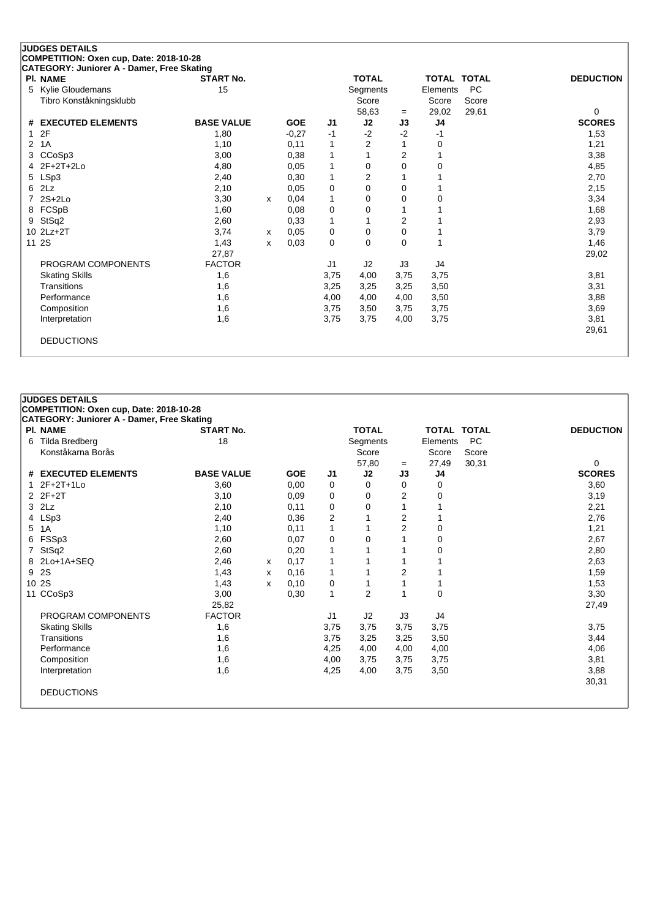|    | <b>JUDGES DETAILS</b>                                         |                   |   |            |                |                   |           |                |                    |                    |
|----|---------------------------------------------------------------|-------------------|---|------------|----------------|-------------------|-----------|----------------|--------------------|--------------------|
|    | COMPETITION: Oxen cup, Date: 2018-10-28                       |                   |   |            |                |                   |           |                |                    |                    |
|    | CATEGORY: Juniorer A - Damer, Free Skating<br><b>PI. NAME</b> | <b>START No.</b>  |   |            |                | <b>TOTAL</b>      |           |                | <b>TOTAL TOTAL</b> | <b>DEDUCTION</b>   |
| 5. | <b>Kylie Gloudemans</b>                                       | 15                |   |            |                |                   |           | Elements       | <b>PC</b>          |                    |
|    | Tibro Konståkningsklubb                                       |                   |   |            |                | Segments<br>Score |           | Score          | Score              |                    |
|    |                                                               |                   |   |            |                |                   |           |                |                    |                    |
| #  | <b>EXECUTED ELEMENTS</b>                                      | <b>BASE VALUE</b> |   | <b>GOE</b> | J <sub>1</sub> | 58,63<br>J2       | $=$<br>J3 | 29,02<br>J4    | 29,61              | 0<br><b>SCORES</b> |
| 1  | 2F                                                            | 1,80              |   | $-0,27$    | -1             | $-2$              | $-2$      | -1             |                    | 1,53               |
| 2  | 1A                                                            | 1,10              |   | 0,11       | 1              | 2                 |           | $\mathbf 0$    |                    | 1,21               |
| 3  | CCoSp3                                                        | 3,00              |   | 0,38       | 1              |                   | 2         |                |                    | 3,38               |
|    | $2F+2T+2Lo$                                                   | 4,80              |   | 0,05       | 1              | 0                 | 0         | 0              |                    | 4,85               |
| 5  | LSp3                                                          | 2,40              |   | 0,30       | 1              | $\overline{2}$    |           |                |                    | 2,70               |
| 6  | 2Lz                                                           | 2,10              |   | 0,05       | 0              | $\Omega$          | 0         |                |                    | 2,15               |
|    | $2S+2Lo$                                                      | 3,30              | x | 0,04       | 1              | 0                 | 0         | 0              |                    | 3,34               |
| 8  | FCSpB                                                         | 1,60              |   | 0,08       | 0              | 0                 |           |                |                    | 1,68               |
| 9  | StSq2                                                         | 2,60              |   | 0,33       | 1              |                   | 2         |                |                    | 2,93               |
|    | 10 2Lz+2T                                                     | 3,74              | x | 0,05       | 0              | 0                 | 0         |                |                    | 3,79               |
|    | 11 2S                                                         | 1,43              | x | 0,03       | 0              | $\Omega$          | 0         |                |                    | 1,46               |
|    |                                                               | 27,87             |   |            |                |                   |           |                |                    | 29,02              |
|    | PROGRAM COMPONENTS                                            | <b>FACTOR</b>     |   |            | J <sub>1</sub> | J2                | J3        | J <sub>4</sub> |                    |                    |
|    | <b>Skating Skills</b>                                         | 1,6               |   |            | 3,75           | 4,00              | 3,75      | 3,75           |                    | 3,81               |
|    | Transitions                                                   | 1,6               |   |            | 3,25           | 3,25              | 3,25      | 3,50           |                    | 3,31               |
|    | Performance                                                   | 1,6               |   |            | 4,00           | 4,00              | 4,00      | 3,50           |                    | 3,88               |
|    | Composition                                                   | 1,6               |   |            | 3,75           | 3,50              | 3,75      | 3,75           |                    | 3,69               |
|    | Interpretation                                                | 1,6               |   |            | 3,75           | 3,75              | 4,00      | 3,75           |                    | 3,81               |
|    |                                                               |                   |   |            |                |                   |           |                |                    | 29,61              |
|    | <b>DEDUCTIONS</b>                                             |                   |   |            |                |                   |           |                |                    |                    |
|    |                                                               |                   |   |            |                |                   |           |                |                    |                    |

## **JUDGES DETAILS COMPETITION: Oxen cup, Date: 2018-10-28**

| 18<br><b>BASE VALUE</b><br>3,60<br>3,10<br>2,10<br>2,40<br>1,10 |                              | <b>GOE</b><br>0,00<br>0,09<br>0,11<br>0,36 | J1<br>0<br>0<br>$\Omega$ | Segments<br>Score<br>57,80<br>J2<br>$\Omega$<br>0<br>0 | $=$<br>J3<br>0<br>2 | Elements<br>Score<br>27,49<br>J4<br>0<br>0 | PC<br>Score<br>30,31 | 0<br><b>SCORES</b><br>3,60 |
|-----------------------------------------------------------------|------------------------------|--------------------------------------------|--------------------------|--------------------------------------------------------|---------------------|--------------------------------------------|----------------------|----------------------------|
|                                                                 |                              |                                            |                          |                                                        |                     |                                            |                      |                            |
|                                                                 |                              |                                            |                          |                                                        |                     |                                            |                      |                            |
|                                                                 |                              |                                            |                          |                                                        |                     |                                            |                      |                            |
|                                                                 |                              |                                            |                          |                                                        |                     |                                            |                      |                            |
|                                                                 |                              |                                            |                          |                                                        |                     |                                            |                      |                            |
|                                                                 |                              |                                            |                          |                                                        |                     |                                            |                      | 3,19                       |
|                                                                 |                              |                                            |                          |                                                        |                     |                                            |                      | 2,21                       |
|                                                                 |                              |                                            | $\overline{2}$           |                                                        | $\overline{2}$      |                                            |                      | 2,76                       |
|                                                                 |                              | 0,11                                       |                          |                                                        | 2                   | 0                                          |                      | 1,21                       |
|                                                                 |                              | 0,07                                       | 0                        | $\Omega$                                               |                     | 0                                          |                      | 2,67                       |
| 2,60                                                            |                              | 0,20                                       |                          |                                                        |                     | 0                                          |                      | 2,80                       |
| 2,46                                                            | x                            | 0,17                                       |                          |                                                        |                     |                                            |                      | 2,63                       |
| 1,43                                                            | x                            | 0,16                                       |                          |                                                        | $\overline{2}$      |                                            |                      | 1,59                       |
| 1,43                                                            | x                            | 0,10                                       | 0                        |                                                        |                     |                                            |                      | 1,53                       |
| 3,00                                                            |                              | 0,30                                       | 1                        | $\overline{2}$                                         |                     | 0                                          |                      | 3,30                       |
| 25,82                                                           |                              |                                            |                          |                                                        |                     |                                            |                      | 27,49                      |
|                                                                 |                              |                                            | J <sub>1</sub>           | J2                                                     | J3                  | J4                                         |                      |                            |
| 1,6                                                             |                              |                                            | 3,75                     | 3,75                                                   | 3,75                | 3,75                                       |                      | 3,75                       |
| 1,6                                                             |                              |                                            | 3,75                     | 3,25                                                   | 3,25                | 3,50                                       |                      | 3,44                       |
| 1,6                                                             |                              |                                            | 4,25                     | 4,00                                                   | 4,00                | 4,00                                       |                      | 4,06                       |
|                                                                 |                              |                                            | 4,00                     | 3,75                                                   | 3,75                | 3,75                                       |                      | 3,81                       |
| 1,6                                                             |                              |                                            | 4,25                     | 4,00                                                   | 3,75                | 3,50                                       |                      | 3,88                       |
|                                                                 |                              |                                            |                          |                                                        |                     |                                            |                      | 30,31                      |
|                                                                 |                              |                                            |                          |                                                        |                     |                                            |                      |                            |
|                                                                 | 2,60<br><b>FACTOR</b><br>1,6 |                                            |                          |                                                        |                     |                                            |                      |                            |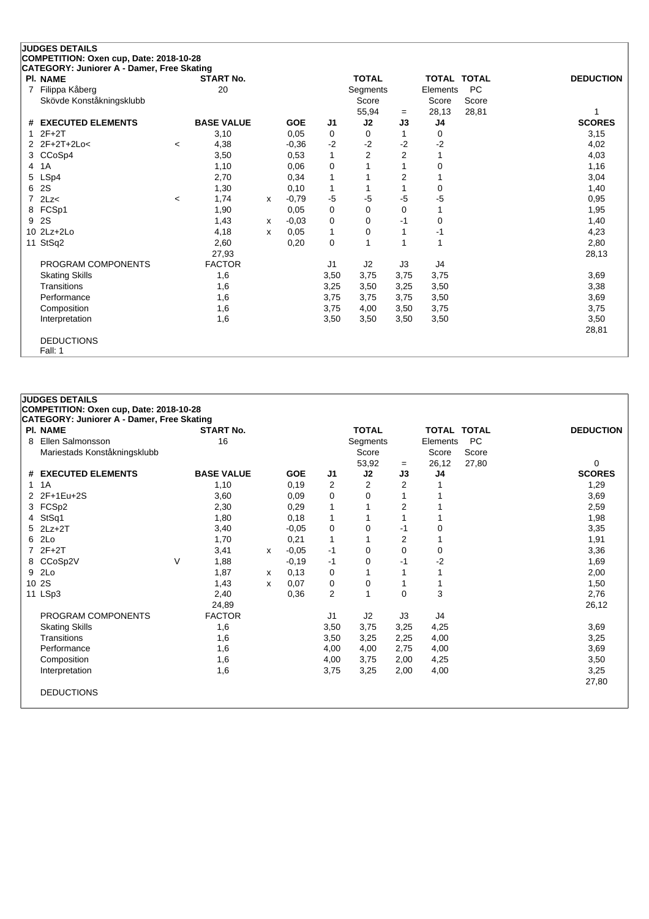|   | <b>JUDGES DETAILS</b>                      |         |                   |              |            |                |                |                |                    |           |                  |
|---|--------------------------------------------|---------|-------------------|--------------|------------|----------------|----------------|----------------|--------------------|-----------|------------------|
|   | COMPETITION: Oxen cup, Date: 2018-10-28    |         |                   |              |            |                |                |                |                    |           |                  |
|   | CATEGORY: Juniorer A - Damer, Free Skating |         |                   |              |            |                |                |                |                    |           |                  |
|   | <b>PI. NAME</b>                            |         | <b>START No.</b>  |              |            |                | <b>TOTAL</b>   |                | <b>TOTAL TOTAL</b> |           | <b>DEDUCTION</b> |
| 7 | Filippa Kåberg                             |         | 20                |              |            |                | Segments       |                | Elements           | <b>PC</b> |                  |
|   | Skövde Konståkningsklubb                   |         |                   |              |            |                | Score          |                | Score              | Score     |                  |
|   |                                            |         |                   |              |            |                | 55,94          | $=$            | 28,13              | 28,81     |                  |
| # | <b>EXECUTED ELEMENTS</b>                   |         | <b>BASE VALUE</b> |              | <b>GOE</b> | J1             | J2             | J3             | J4                 |           | <b>SCORES</b>    |
|   | $2F+2T$                                    |         | 3,10              |              | 0.05       | 0              | 0              |                | 0                  |           | 3,15             |
|   | $2F+2T+2Loc$                               | $\prec$ | 4,38              |              | $-0,36$    | $-2$           | $-2$           | $-2$           | $-2$               |           | 4,02             |
| 3 | CCoSp4                                     |         | 3,50              |              | 0,53       | 1              | $\overline{2}$ | $\overline{2}$ |                    |           | 4,03             |
| 4 | 1A                                         |         | 1,10              |              | 0,06       | 0              |                |                | 0                  |           | 1,16             |
| 5 | LSp4                                       |         | 2,70              |              | 0.34       | 1              |                | $\overline{2}$ |                    |           | 3,04             |
| 6 | 2S                                         |         | 1,30              |              | 0,10       | $\mathbf{1}$   |                |                | 0                  |           | 1,40             |
|   | 2Lz<                                       | $\,<$   | 1,74              | x            | $-0,79$    | $-5$           | $-5$           | -5             | $-5$               |           | 0,95             |
| 8 | FCSp1                                      |         | 1,90              |              | 0,05       | 0              | 0              | 0              |                    |           | 1,95             |
| 9 | 2S                                         |         | 1,43              | $\mathsf{x}$ | $-0,03$    | 0              | 0              | $-1$           | $\Omega$           |           | 1,40             |
|   | $10$ $2Lz + 2Lo$                           |         | 4,18              | x            | 0,05       | 1              | 0              |                | -1                 |           | 4,23             |
|   | 11 StSq2                                   |         | 2,60              |              | 0,20       | 0              |                |                | 1                  |           | 2,80             |
|   |                                            |         | 27,93             |              |            |                |                |                |                    |           | 28,13            |
|   | PROGRAM COMPONENTS                         |         | <b>FACTOR</b>     |              |            | J <sub>1</sub> | J2             | J3             | J4                 |           |                  |
|   | <b>Skating Skills</b>                      |         | 1,6               |              |            | 3,50           | 3,75           | 3,75           | 3,75               |           | 3,69             |
|   | Transitions                                |         | 1,6               |              |            | 3,25           | 3,50           | 3,25           | 3,50               |           | 3,38             |
|   | Performance                                |         | 1,6               |              |            | 3,75           | 3,75           | 3,75           | 3,50               |           | 3,69             |
|   | Composition                                |         | 1,6               |              |            | 3,75           | 4,00           | 3,50           | 3,75               |           | 3,75             |
|   | Interpretation                             |         | 1,6               |              |            | 3,50           | 3,50           | 3,50           | 3,50               |           | 3,50             |
|   |                                            |         |                   |              |            |                |                |                |                    |           | 28,81            |
|   | <b>DEDUCTIONS</b>                          |         |                   |              |            |                |                |                |                    |           |                  |
|   | Fall: 1                                    |         |                   |              |            |                |                |                |                    |           |                  |

| <b>JUDGES DETAILS</b><br>COMPETITION: Oxen cup, Date: 2018-10-28 |   |                   |   |            |                |              |                |                    |           |                  |
|------------------------------------------------------------------|---|-------------------|---|------------|----------------|--------------|----------------|--------------------|-----------|------------------|
| <b>CATEGORY: Juniorer A - Damer, Free Skating</b>                |   |                   |   |            |                |              |                |                    |           |                  |
| <b>PI. NAME</b>                                                  |   | <b>START No.</b>  |   |            |                | <b>TOTAL</b> |                | <b>TOTAL TOTAL</b> |           | <b>DEDUCTION</b> |
| 8 Ellen Salmonsson                                               |   | 16                |   |            |                | Segments     |                | Elements           | <b>PC</b> |                  |
| Mariestads Konståkningsklubb                                     |   |                   |   |            |                | Score        |                | Score              | Score     |                  |
|                                                                  |   |                   |   |            |                | 53,92        | $=$            | 26,12              | 27,80     | $\Omega$         |
| # EXECUTED ELEMENTS                                              |   | <b>BASE VALUE</b> |   | <b>GOE</b> | J1             | J2           | J3             | J <sub>4</sub>     |           | <b>SCORES</b>    |
| 1A                                                               |   | 1,10              |   | 0,19       | $\overline{2}$ | 2            | 2              |                    |           | 1,29             |
| 2 2F+1Eu+2S                                                      |   | 3,60              |   | 0,09       | 0              | 0            |                |                    |           | 3,69             |
| 3 FCSp2                                                          |   | 2,30              |   | 0,29       | $\mathbf{1}$   |              | 2              |                    |           | 2,59             |
| 4 StSq1                                                          |   | 1,80              |   | 0,18       | 1              |              |                |                    |           | 1,98             |
| $5$ 2Lz+2T                                                       |   | 3,40              |   | $-0.05$    | 0              | 0            | $-1$           | 0                  |           | 3,35             |
| 6 2Lo                                                            |   | 1,70              |   | 0,21       | 1              | 1            | $\overline{2}$ |                    |           | 1,91             |
| $72F+2T$                                                         |   | 3,41              | X | $-0,05$    | $-1$           | $\mathbf 0$  | 0              | 0                  |           | 3,36             |
| 8 CCoSp2V                                                        | V | 1,88              |   | $-0,19$    | $-1$           | 0            | $-1$           | -2                 |           | 1,69             |
| 9 2Lo                                                            |   | 1,87              | X | 0,13       | 0              | 1            |                |                    |           | 2,00             |
| 10 2S                                                            |   | 1,43              | X | 0,07       | 0              | 0            | 1              |                    |           | 1,50             |
| 11 LSp3                                                          |   | 2,40              |   | 0,36       | $\overline{2}$ | $\mathbf{1}$ | 0              | 3                  |           | 2,76             |
|                                                                  |   | 24,89             |   |            |                |              |                |                    |           | 26,12            |
| PROGRAM COMPONENTS                                               |   | <b>FACTOR</b>     |   |            | J1             | J2           | J3             | J4                 |           |                  |
| <b>Skating Skills</b>                                            |   | 1,6               |   |            | 3,50           | 3,75         | 3,25           | 4,25               |           | 3,69             |
| Transitions                                                      |   | 1,6               |   |            | 3,50           | 3,25         | 2,25           | 4,00               |           | 3,25             |
| Performance                                                      |   | 1,6               |   |            | 4,00           | 4,00         | 2,75           | 4,00               |           | 3,69             |
| Composition                                                      |   | 1,6               |   |            | 4,00           | 3,75         | 2,00           | 4,25               |           | 3,50             |
| Interpretation                                                   |   | 1,6               |   |            | 3,75           | 3,25         | 2,00           | 4,00               |           | 3,25             |
|                                                                  |   |                   |   |            |                |              |                |                    |           | 27,80            |
| <b>DEDUCTIONS</b>                                                |   |                   |   |            |                |              |                |                    |           |                  |
|                                                                  |   |                   |   |            |                |              |                |                    |           |                  |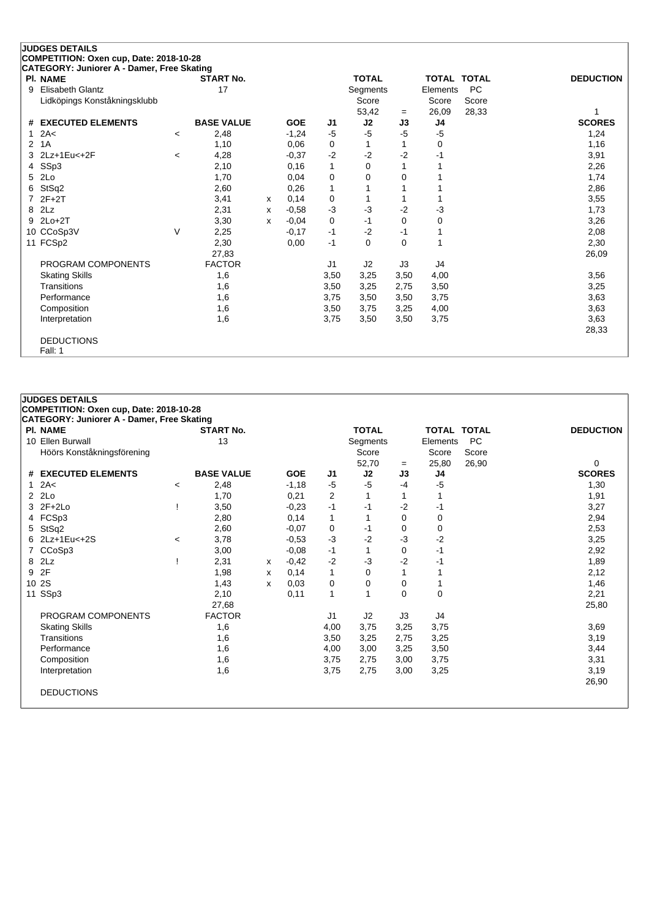| <b>PI. NAME</b>               |                          | <b>START No.</b>  |   |            |                | <b>TOTAL</b> |      | <b>TOTAL TOTAL</b> |           | <b>DEDUCTION</b> |
|-------------------------------|--------------------------|-------------------|---|------------|----------------|--------------|------|--------------------|-----------|------------------|
| Elisabeth Glantz<br>9         |                          | 17                |   |            |                | Segments     |      | Elements           | <b>PC</b> |                  |
| Lidköpings Konståkningsklubb  |                          |                   |   |            |                | Score        |      | Score              | Score     |                  |
|                               |                          |                   |   |            |                | 53,42        | $=$  | 26,09              | 28,33     |                  |
| <b>EXECUTED ELEMENTS</b><br># |                          | <b>BASE VALUE</b> |   | <b>GOE</b> | J <sub>1</sub> | J2           | J3   | J <sub>4</sub>     |           | <b>SCORES</b>    |
| 2A<<br>1                      | $\overline{\phantom{a}}$ | 2,48              |   | $-1,24$    | -5             | -5           | $-5$ | $-5$               |           | 1,24             |
| 2<br>1A                       |                          | 1,10              |   | 0,06       | 0              | 1            | 1    | 0                  |           | 1,16             |
| 2Lz+1Eu<+2F<br>3              | $\overline{\phantom{a}}$ | 4,28              |   | $-0,37$    | $-2$           | $-2$         | $-2$ | -1                 |           | 3,91             |
| SSp3<br>4                     |                          | 2,10              |   | 0,16       | 1              | 0            |      |                    |           | 2,26             |
| 2Lo<br>5                      |                          | 1,70              |   | 0,04       | 0              | 0            | 0    |                    |           | 1,74             |
| StSq2<br>6                    |                          | 2,60              |   | 0,26       | 1              |              |      |                    |           | 2,86             |
| $2F+2T$                       |                          | 3,41              | X | 0,14       | 0              |              |      |                    |           | 3,55             |
| 2Lz<br>8                      |                          | 2,31              | x | $-0,58$    | $-3$           | $-3$         | $-2$ | $-3$               |           | 1,73             |
| $2Lo+2T$<br>9                 |                          | 3,30              | x | $-0,04$    | 0              | $-1$         | 0    | 0                  |           | 3,26             |
| 10 CCoSp3V                    | $\vee$                   | 2,25              |   | $-0,17$    | -1             | $-2$         | $-1$ |                    |           | 2,08             |
| FCSp2<br>11                   |                          | 2,30              |   | 0,00       | $-1$           | $\Omega$     | 0    | 1                  |           | 2,30             |
|                               |                          | 27,83             |   |            |                |              |      |                    |           | 26,09            |
| PROGRAM COMPONENTS            |                          | <b>FACTOR</b>     |   |            | J <sub>1</sub> | J2           | J3   | J4                 |           |                  |
| <b>Skating Skills</b>         |                          | 1,6               |   |            | 3,50           | 3,25         | 3,50 | 4,00               |           | 3,56             |
| Transitions                   |                          | 1,6               |   |            | 3,50           | 3,25         | 2,75 | 3,50               |           | 3,25             |
| Performance                   |                          | 1,6               |   |            | 3,75           | 3,50         | 3,50 | 3,75               |           | 3,63             |
| Composition                   |                          | 1,6               |   |            | 3,50           | 3,75         | 3,25 | 4,00               |           | 3,63             |
| Interpretation                |                          | 1,6               |   |            | 3,75           | 3,50         | 3,50 | 3,75               |           | 3,63             |
|                               |                          |                   |   |            |                |              |      |                    |           | 28,33            |
| <b>DEDUCTIONS</b>             |                          |                   |   |            |                |              |      |                    |           |                  |
| Fall: 1                       |                          |                   |   |            |                |              |      |                    |           |                  |

|                | <b>JUDGES DETAILS</b>                             |         |                   |   |            |                |              |          |                    |           |                  |
|----------------|---------------------------------------------------|---------|-------------------|---|------------|----------------|--------------|----------|--------------------|-----------|------------------|
|                | COMPETITION: Oxen cup, Date: 2018-10-28           |         |                   |   |            |                |              |          |                    |           |                  |
|                | <b>CATEGORY: Juniorer A - Damer, Free Skating</b> |         |                   |   |            |                |              |          |                    |           |                  |
|                | <b>PI. NAME</b>                                   |         | <b>START No.</b>  |   |            |                | <b>TOTAL</b> |          | <b>TOTAL TOTAL</b> |           | <b>DEDUCTION</b> |
|                | 10 Ellen Burwall                                  |         | 13                |   |            |                | Segments     |          | Elements           | <b>PC</b> |                  |
|                | Höörs Konståkningsförening                        |         |                   |   |            |                | Score        |          | Score              | Score     |                  |
|                |                                                   |         |                   |   |            |                | 52,70        | $=$      | 25,80              | 26,90     | 0                |
|                | # EXECUTED ELEMENTS                               |         | <b>BASE VALUE</b> |   | <b>GOE</b> | J <sub>1</sub> | J2           | J3       | J4                 |           | <b>SCORES</b>    |
| $\mathbf{1}$   | 2A<                                               | $\,<\,$ | 2,48              |   | $-1,18$    | $-5$           | $-5$         | $-4$     | -5                 |           | 1,30             |
| $\overline{2}$ | 2Lo                                               |         | 1,70              |   | 0,21       | 2              |              | 1        |                    |           | 1,91             |
|                | 3 2F+2Lo                                          |         | 3,50              |   | $-0.23$    | $-1$           | -1           | $-2$     | -1                 |           | 3,27             |
| 4              | FCSp3                                             |         | 2,80              |   | 0,14       | $\mathbf{1}$   | 1            | $\Omega$ | 0                  |           | 2,94             |
| 5.             | StSq2                                             |         | 2,60              |   | $-0.07$    | 0              | -1           | 0        | 0                  |           | 2,53             |
| 6.             | 2Lz+1Eu<+2S                                       | $\,<\,$ | 3,78              |   | $-0.53$    | $-3$           | $-2$         | $-3$     | $-2$               |           | 3,25             |
| $\overline{7}$ | CCoSp3                                            |         | 3,00              |   | $-0,08$    | $-1$           | 1            | 0        | $-1$               |           | 2,92             |
| 8              | 2Lz                                               |         | 2,31              | x | $-0,42$    | $-2$           | $-3$         | $-2$     | -1                 |           | 1,89             |
| 9              | 2F                                                |         | 1,98              | x | 0,14       | 1              | $\Omega$     | 1        | 1                  |           | 2,12             |
|                | 10 2S                                             |         | 1,43              | X | 0.03       | 0              | 0            | 0        | 1                  |           | 1,46             |
|                | 11 SSp3                                           |         | 2,10              |   | 0,11       | 1              | 1            | $\Omega$ | 0                  |           | 2,21             |
|                |                                                   |         | 27,68             |   |            |                |              |          |                    |           | 25,80            |
|                | PROGRAM COMPONENTS                                |         | <b>FACTOR</b>     |   |            | J <sub>1</sub> | J2           | J3       | J4                 |           |                  |
|                | <b>Skating Skills</b>                             |         | 1,6               |   |            | 4,00           | 3,75         | 3,25     | 3,75               |           | 3,69             |
|                | Transitions                                       |         | 1,6               |   |            | 3,50           | 3,25         | 2,75     | 3,25               |           | 3,19             |
|                | Performance                                       |         | 1,6               |   |            | 4,00           | 3,00         | 3,25     | 3,50               |           | 3,44             |
|                | Composition                                       |         | 1,6               |   |            | 3,75           | 2,75         | 3,00     | 3,75               |           | 3,31             |
|                | Interpretation                                    |         | 1,6               |   |            | 3,75           | 2,75         | 3,00     | 3,25               |           | 3,19             |
|                |                                                   |         |                   |   |            |                |              |          |                    |           | 26,90            |
|                | <b>DEDUCTIONS</b>                                 |         |                   |   |            |                |              |          |                    |           |                  |
|                |                                                   |         |                   |   |            |                |              |          |                    |           |                  |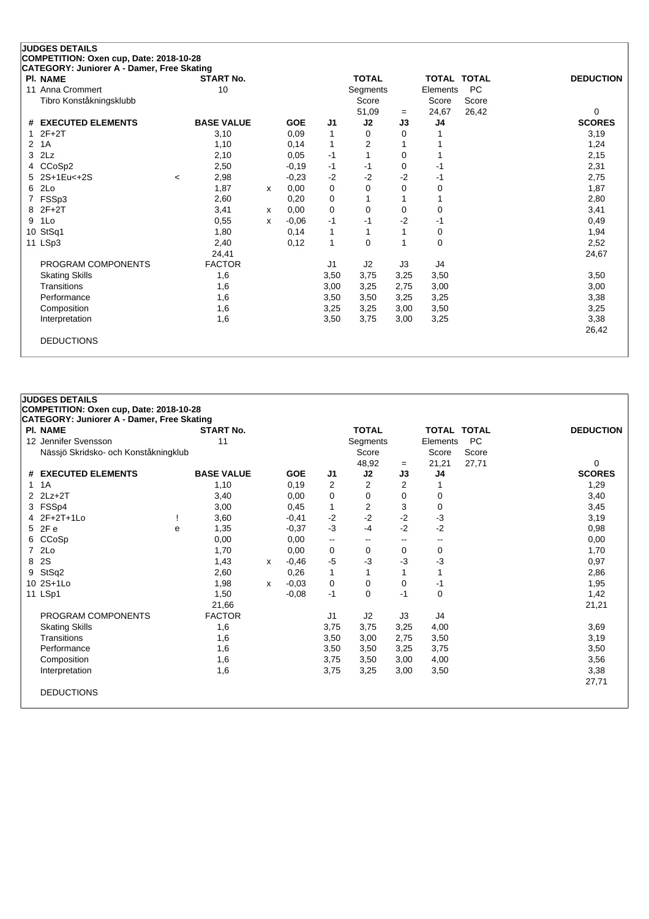| <b>PI. NAME</b>         | <b>START No.</b>  |   |            |                | <b>TOTAL</b> |      |          | <b>TOTAL TOTAL</b> | <b>DEDUCTION</b> |
|-------------------------|-------------------|---|------------|----------------|--------------|------|----------|--------------------|------------------|
| 11 Anna Crommert        | 10                |   |            |                | Segments     |      | Elements | <b>PC</b>          |                  |
| Tibro Konståkningsklubb |                   |   |            |                | Score        |      | Score    | Score              |                  |
|                         |                   |   |            |                | 51,09        | $=$  | 24,67    | 26,42              | 0                |
| # EXECUTED ELEMENTS     | <b>BASE VALUE</b> |   | <b>GOE</b> | J <sub>1</sub> | J2           | J3   | J4       |                    | <b>SCORES</b>    |
| $2F+2T$                 | 3,10              |   | 0,09       | 1              | 0            | 0    |          |                    | 3,19             |
| 1A<br>2                 | 1,10              |   | 0,14       | 1              | 2            |      |          |                    | 1,24             |
| 2Lz<br>3                | 2,10              |   | 0,05       | $-1$           |              | 0    |          |                    | 2,15             |
| CCoSp2<br>4             | 2,50              |   | $-0,19$    | $-1$           | -1           | 0    | $-1$     |                    | 2,31             |
| 2S+1Eu<+2S              | 2,98<br>$\,<\,$   |   | $-0,23$    | $-2$           | $-2$         | $-2$ | -1       |                    | 2,75             |
| 2Lo<br>6                | 1,87              | X | 0,00       | 0              | 0            | 0    | 0        |                    | 1,87             |
| FSSp3                   | 2,60              |   | 0,20       | 0              |              |      |          |                    | 2,80             |
| $2F+2T$<br>8            | 3,41              | x | 0,00       | $\mathbf 0$    | 0            | 0    | 0        |                    | 3,41             |
| 1Lo<br>9                | 0,55              | x | $-0,06$    | -1             | -1           | -2   | -1       |                    | 0,49             |
| 10 StSq1                | 1,80              |   | 0,14       | 1              |              |      | 0        |                    | 1,94             |
| 11 LSp3                 | 2,40              |   | 0.12       | $\mathbf{1}$   | $\Omega$     |      | 0        |                    | 2,52             |
|                         | 24,41             |   |            |                |              |      |          |                    | 24,67            |
| PROGRAM COMPONENTS      | <b>FACTOR</b>     |   |            | J1             | J2           | J3   | J4       |                    |                  |
| <b>Skating Skills</b>   | 1,6               |   |            | 3,50           | 3,75         | 3,25 | 3,50     |                    | 3,50             |
| Transitions             | 1,6               |   |            | 3,00           | 3,25         | 2,75 | 3,00     |                    | 3,00             |
| Performance             | 1,6               |   |            | 3,50           | 3,50         | 3,25 | 3,25     |                    | 3,38             |
| Composition             | 1,6               |   |            | 3,25           | 3,25         | 3,00 | 3,50     |                    | 3,25             |
| Interpretation          | 1,6               |   |            | 3,50           | 3,75         | 3,00 | 3,25     |                    | 3,38             |
|                         |                   |   |            |                |              |      |          |                    | 26,42            |

|                       |                                                                                                                                                                                                           |                                      |                                                                                                                                                                     |            |                          |                |                          |       |       | <b>DEDUCTION</b>                            |
|-----------------------|-----------------------------------------------------------------------------------------------------------------------------------------------------------------------------------------------------------|--------------------------------------|---------------------------------------------------------------------------------------------------------------------------------------------------------------------|------------|--------------------------|----------------|--------------------------|-------|-------|---------------------------------------------|
|                       |                                                                                                                                                                                                           |                                      |                                                                                                                                                                     |            |                          |                |                          |       |       |                                             |
|                       |                                                                                                                                                                                                           |                                      |                                                                                                                                                                     |            |                          | Score          |                          | Score | Score |                                             |
|                       |                                                                                                                                                                                                           |                                      |                                                                                                                                                                     |            |                          | 48,92          | $=$                      | 21,21 | 27,71 | 0                                           |
|                       |                                                                                                                                                                                                           | <b>BASE VALUE</b>                    |                                                                                                                                                                     | <b>GOE</b> | J1                       | J2             | J3                       | J4    |       | <b>SCORES</b>                               |
| 1A                    |                                                                                                                                                                                                           | 1,10                                 |                                                                                                                                                                     | 0,19       | $\overline{2}$           | $\overline{2}$ | $\overline{2}$           |       |       | 1,29                                        |
|                       |                                                                                                                                                                                                           | 3,40                                 |                                                                                                                                                                     | 0,00       | 0                        | 0              | 0                        | 0     |       | 3,40                                        |
|                       |                                                                                                                                                                                                           | 3,00                                 |                                                                                                                                                                     | 0,45       | $\mathbf{1}$             | $\overline{c}$ | 3                        | 0     |       | 3,45                                        |
|                       |                                                                                                                                                                                                           | 3,60                                 |                                                                                                                                                                     | $-0,41$    | $-2$                     | $-2$           | $-2$                     | $-3$  |       | 3,19                                        |
|                       | e                                                                                                                                                                                                         | 1,35                                 |                                                                                                                                                                     | $-0.37$    | $-3$                     | $-4$           | $-2$                     | $-2$  |       | 0,98                                        |
|                       |                                                                                                                                                                                                           | 0,00                                 |                                                                                                                                                                     | 0,00       | $\overline{\phantom{a}}$ | $\mathbf{u}$   | $\hspace{0.05cm}$        | $-$   |       | 0,00                                        |
|                       |                                                                                                                                                                                                           | 1,70                                 |                                                                                                                                                                     | 0,00       | 0                        | 0              | 0                        | 0     |       | 1,70                                        |
|                       |                                                                                                                                                                                                           | 1,43                                 | x                                                                                                                                                                   | $-0,46$    | $-5$                     | $-3$           | -3                       | $-3$  |       | 0,97                                        |
|                       |                                                                                                                                                                                                           | 2,60                                 |                                                                                                                                                                     | 0,26       | $\mathbf{1}$             | $\mathbf{1}$   | 1                        | 1     |       | 2,86                                        |
|                       |                                                                                                                                                                                                           | 1,98                                 | x                                                                                                                                                                   | $-0,03$    | 0                        | 0              | 0                        | -1    |       | 1,95                                        |
|                       |                                                                                                                                                                                                           | 1,50                                 |                                                                                                                                                                     | $-0,08$    | $-1$                     | 0              | $-1$                     | 0     |       | 1,42                                        |
|                       |                                                                                                                                                                                                           | 21,66                                |                                                                                                                                                                     |            |                          |                |                          |       |       | 21,21                                       |
| PROGRAM COMPONENTS    |                                                                                                                                                                                                           |                                      |                                                                                                                                                                     |            | J1                       | J2             | J3                       | J4    |       |                                             |
| <b>Skating Skills</b> |                                                                                                                                                                                                           | 1,6                                  |                                                                                                                                                                     |            | 3,75                     | 3,75           | 3,25                     | 4,00  |       | 3,69                                        |
| Transitions           |                                                                                                                                                                                                           |                                      |                                                                                                                                                                     |            | 3,50                     | 3,00           | 2,75                     | 3,50  |       | 3,19                                        |
| Performance           |                                                                                                                                                                                                           |                                      |                                                                                                                                                                     |            | 3,50                     | 3,50           | 3,25                     | 3,75  |       | 3,50                                        |
| Composition           |                                                                                                                                                                                                           |                                      |                                                                                                                                                                     |            | 3,75                     | 3,50           | 3,00                     | 4,00  |       | 3,56                                        |
| Interpretation        |                                                                                                                                                                                                           |                                      |                                                                                                                                                                     |            | 3,75                     | 3,25           | 3,00                     | 3,50  |       | 3,38                                        |
|                       |                                                                                                                                                                                                           |                                      |                                                                                                                                                                     |            |                          |                |                          |       |       | 27,71                                       |
| <b>DEDUCTIONS</b>     |                                                                                                                                                                                                           |                                      |                                                                                                                                                                     |            |                          |                |                          |       |       |                                             |
|                       |                                                                                                                                                                                                           |                                      |                                                                                                                                                                     |            |                          |                |                          |       |       |                                             |
|                       | <b>JUDGES DETAILS</b><br><b>PI. NAME</b><br>12 Jennifer Svensson<br># EXECUTED ELEMENTS<br>$2$ $2Lz+2T$<br>3 FSSp4<br>4 2F+2T+1Lo<br>5 2Fe<br>6 CCoSp<br>7 2Lo<br>8 2S<br>9 StSq2<br>10 2S+1Lo<br>11 LSp1 | Nässjö Skridsko- och Konståkningklub | COMPETITION: Oxen cup, Date: 2018-10-28<br><b>CATEGORY: Juniorer A - Damer, Free Skating</b><br><b>START No.</b><br>11<br><b>FACTOR</b><br>1,6<br>1,6<br>1,6<br>1,6 |            |                          |                | <b>TOTAL</b><br>Segments |       |       | <b>TOTAL TOTAL</b><br><b>PC</b><br>Elements |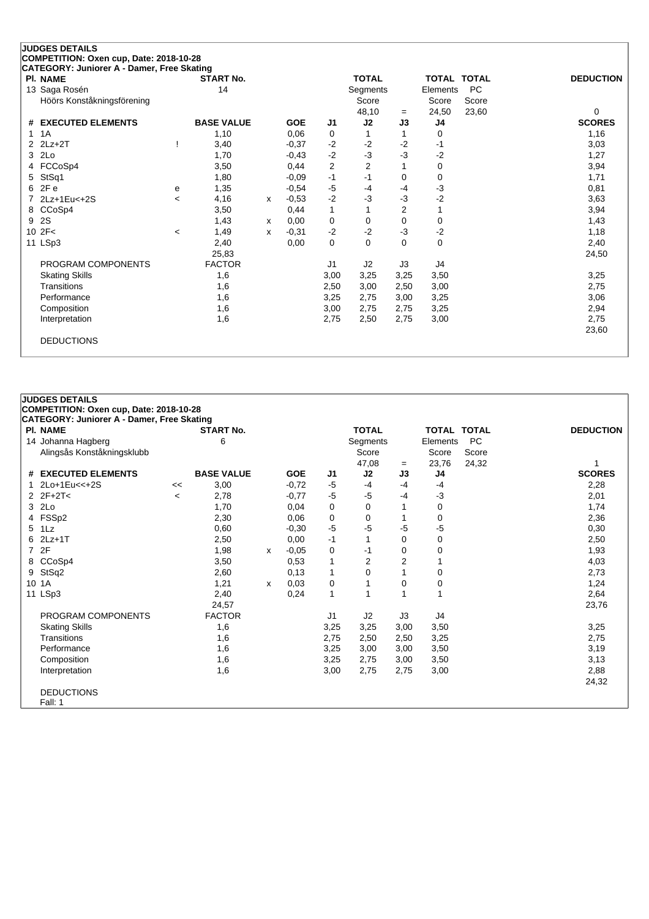|   | <b>JUDGES DETAILS</b>                      |         |                   |   |            |                         |                |                |             |           |                  |
|---|--------------------------------------------|---------|-------------------|---|------------|-------------------------|----------------|----------------|-------------|-----------|------------------|
|   | COMPETITION: Oxen cup, Date: 2018-10-28    |         |                   |   |            |                         |                |                |             |           |                  |
|   | CATEGORY: Juniorer A - Damer, Free Skating |         |                   |   |            |                         |                |                |             |           |                  |
|   | <b>PI. NAME</b>                            |         | <b>START No.</b>  |   |            |                         | <b>TOTAL</b>   |                | TOTAL TOTAL |           | <b>DEDUCTION</b> |
|   | 13 Saga Rosén                              |         | 14                |   |            |                         | Segments       |                | Elements    | <b>PC</b> |                  |
|   | Höörs Konståkningsförening                 |         |                   |   |            |                         | Score          |                | Score       | Score     |                  |
|   |                                            |         |                   |   |            |                         | 48,10          | $=$            | 24,50       | 23,60     | 0                |
| # | <b>EXECUTED ELEMENTS</b>                   |         | <b>BASE VALUE</b> |   | <b>GOE</b> | J1                      | J2             | J3             | J4          |           | <b>SCORES</b>    |
| 1 | 1A                                         |         | 1,10              |   | 0.06       | 0                       |                |                | 0           |           | 1,16             |
| 2 | $2Lz + 2T$                                 |         | 3,40              |   | $-0,37$    | $-2$                    | $-2$           | $-2$           | -1          |           | 3,03             |
| 3 | 2Lo                                        |         | 1,70              |   | $-0,43$    | $-2$                    | $-3$           | -3             | $-2$        |           | 1,27             |
| 4 | FCCoSp4                                    |         | 3,50              |   | 0,44       | $\overline{\mathbf{c}}$ | $\overline{2}$ |                | 0           |           | 3,94             |
| 5 | StSq1                                      |         | 1,80              |   | $-0,09$    | $-1$                    | $-1$           | 0              | 0           |           | 1,71             |
| 6 | 2F e                                       | е       | 1,35              |   | $-0,54$    | $-5$                    | $-4$           | -4             | $-3$        |           | 0,81             |
|   | 2Lz+1Eu<+2S                                | $\prec$ | 4,16              | X | $-0,53$    | $-2$                    | $-3$           | -3             | $-2$        |           | 3,63             |
|   | 8 CCoSp4                                   |         | 3,50              |   | 0,44       | 1                       |                | $\overline{2}$ |             |           | 3,94             |
| 9 | 2S                                         |         | 1,43              | X | 0.00       | $\mathbf 0$             | $\Omega$       | 0              | 0           |           | 1,43             |
|   | 10 2F<                                     | $\,<$   | 1,49              | x | $-0,31$    | $-2$                    | $-2$           | -3             | $-2$        |           | 1,18             |
|   | 11 LSp3                                    |         | 2,40              |   | 0,00       | 0                       | $\Omega$       | 0              | 0           |           | 2,40             |
|   |                                            |         | 25,83             |   |            |                         |                |                |             |           | 24,50            |
|   | PROGRAM COMPONENTS                         |         | <b>FACTOR</b>     |   |            | J <sub>1</sub>          | J2             | J3             | J4          |           |                  |
|   | <b>Skating Skills</b>                      |         | 1,6               |   |            | 3,00                    | 3,25           | 3,25           | 3,50        |           | 3,25             |
|   | Transitions                                |         | 1,6               |   |            | 2,50                    | 3,00           | 2,50           | 3,00        |           | 2,75             |
|   | Performance                                |         | 1,6               |   |            | 3,25                    | 2,75           | 3,00           | 3,25        |           | 3,06             |
|   | Composition                                |         | 1,6               |   |            | 3,00                    | 2,75           | 2,75           | 3,25        |           | 2,94             |
|   | Interpretation                             |         | 1,6               |   |            | 2,75                    | 2,50           | 2,75           | 3,00        |           | 2,75             |
|   |                                            |         |                   |   |            |                         |                |                |             |           | 23,60            |
|   | <b>DEDUCTIONS</b>                          |         |                   |   |            |                         |                |                |             |           |                  |
|   |                                            |         |                   |   |            |                         |                |                |             |           |                  |

|    | <b>JUDGES DETAILS</b>                             |         |                   |   |            |                |                |                |                    |           |                  |
|----|---------------------------------------------------|---------|-------------------|---|------------|----------------|----------------|----------------|--------------------|-----------|------------------|
|    | COMPETITION: Oxen cup, Date: 2018-10-28           |         |                   |   |            |                |                |                |                    |           |                  |
|    | <b>CATEGORY: Juniorer A - Damer, Free Skating</b> |         |                   |   |            |                |                |                |                    |           |                  |
|    | <b>PI. NAME</b>                                   |         | <b>START No.</b>  |   |            |                | <b>TOTAL</b>   |                | <b>TOTAL TOTAL</b> |           | <b>DEDUCTION</b> |
|    | 14 Johanna Hagberg                                |         | 6                 |   |            |                | Segments       |                | Elements           | <b>PC</b> |                  |
|    | Alingsås Konståkningsklubb                        |         |                   |   |            |                | Score          |                | Score              | Score     |                  |
|    |                                                   |         |                   |   |            |                | 47,08          | $=$            | 23,76              | 24,32     |                  |
|    | # EXECUTED ELEMENTS                               |         | <b>BASE VALUE</b> |   | <b>GOE</b> | J1             | J2             | J3             | J4                 |           | <b>SCORES</b>    |
|    | 1 2Lo+1Eu<<+2S                                    | <<      | 3,00              |   | $-0,72$    | $-5$           | $-4$           | $-4$           | $-4$               |           | 2,28             |
|    | $2 \, 2F + 2T <$                                  | $\,<\,$ | 2,78              |   | $-0,77$    | $-5$           | $-5$           | -4             | -3                 |           | 2,01             |
|    | 3 2Lo                                             |         | 1,70              |   | 0,04       | 0              | $\mathbf 0$    |                | 0                  |           | 1,74             |
|    | 4 FSSp2                                           |         | 2,30              |   | 0,06       | 0              | 0              |                | 0                  |           | 2,36             |
|    | 5 1Lz                                             |         | 0,60              |   | $-0,30$    | $-5$           | -5             | -5             | -5                 |           | 0,30             |
| 6. | $2$ Lz+1T                                         |         | 2,50              |   | 0,00       | $-1$           | $\mathbf{1}$   | 0              | 0                  |           | 2,50             |
|    | 7 2F                                              |         | 1,98              | X | $-0,05$    | 0              | -1             | 0              | 0                  |           | 1,93             |
|    | 8 CCoSp4                                          |         | 3,50              |   | 0,53       | 1              | $\overline{2}$ | $\overline{2}$ |                    |           | 4,03             |
| 9  | StSq2                                             |         | 2,60              |   | 0,13       | 1              | $\mathbf 0$    |                | 0                  |           | 2,73             |
|    | 10 1A                                             |         | 1,21              | x | 0.03       | $\mathbf 0$    | 1              | $\Omega$       | 0                  |           | 1,24             |
|    | 11 LSp3                                           |         | 2,40              |   | 0,24       | $\mathbf{1}$   | 1              |                | 1                  |           | 2,64             |
|    |                                                   |         | 24,57             |   |            |                |                |                |                    |           | 23,76            |
|    | PROGRAM COMPONENTS                                |         | <b>FACTOR</b>     |   |            | J <sub>1</sub> | J2             | J3             | J4                 |           |                  |
|    | <b>Skating Skills</b>                             |         | 1,6               |   |            | 3,25           | 3,25           | 3,00           | 3,50               |           | 3,25             |
|    | Transitions                                       |         | 1,6               |   |            | 2,75           | 2,50           | 2,50           | 3,25               |           | 2,75             |
|    | Performance                                       |         | 1,6               |   |            | 3,25           | 3,00           | 3,00           | 3,50               |           | 3,19             |
|    | Composition                                       |         | 1,6               |   |            | 3,25           | 2,75           | 3,00           | 3,50               |           | 3,13             |
|    | Interpretation                                    |         | 1,6               |   |            | 3,00           | 2,75           | 2,75           | 3,00               |           | 2,88             |
|    |                                                   |         |                   |   |            |                |                |                |                    |           | 24,32            |
|    | <b>DEDUCTIONS</b>                                 |         |                   |   |            |                |                |                |                    |           |                  |
|    | Fall: 1                                           |         |                   |   |            |                |                |                |                    |           |                  |
|    |                                                   |         |                   |   |            |                |                |                |                    |           |                  |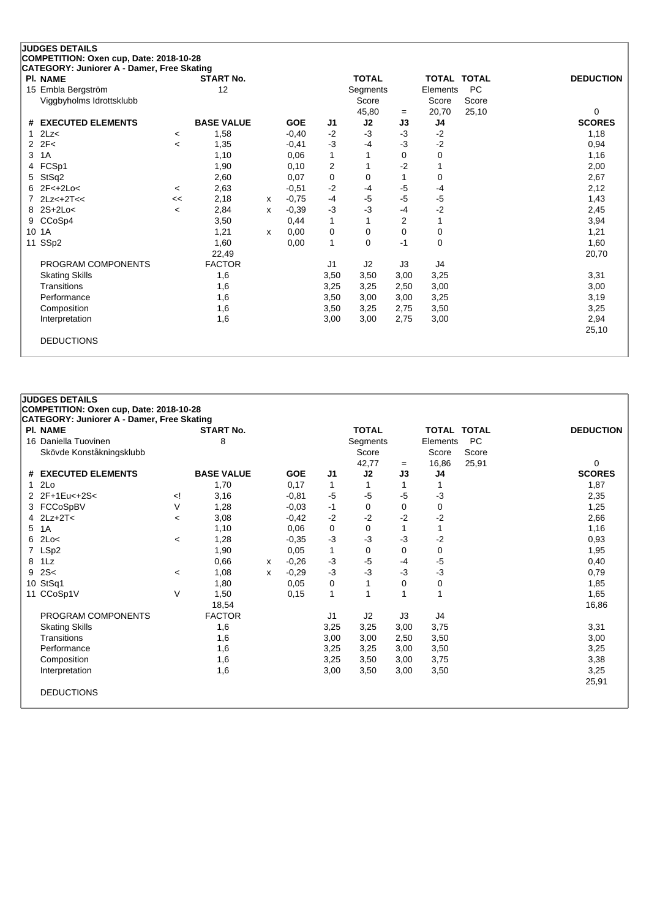| <b>PI. NAME</b>                        |                | <b>START No.</b>  |   |            |              | <b>TOTAL</b> |      | <b>TOTAL TOTAL</b> |           | <b>DEDUCTION</b> |
|----------------------------------------|----------------|-------------------|---|------------|--------------|--------------|------|--------------------|-----------|------------------|
| 15 Embla Bergström                     |                | 12                |   |            |              | Segments     |      | Elements           | <b>PC</b> |                  |
| Viggbyholms Idrottsklubb               |                |                   |   |            |              | Score        |      | Score              | Score     |                  |
|                                        |                |                   |   |            |              | 45,80        | $=$  | 20,70              | 25,10     | 0                |
| # EXECUTED ELEMENTS                    |                | <b>BASE VALUE</b> |   | <b>GOE</b> | J1           | J2           | J3   | J4                 |           | <b>SCORES</b>    |
| 2Lz<                                   | $\prec$        | 1,58              |   | $-0,40$    | $-2$         | -3           | $-3$ | $-2$               |           | 1,18             |
| 2F<<br>$\overline{2}$                  | $\overline{a}$ | 1,35              |   | $-0,41$    | $-3$         | $-4$         | $-3$ | $-2$               |           | 0,94             |
| 1A<br>3                                |                | 1,10              |   | 0,06       | $\mathbf{1}$ |              | 0    | 0                  |           | 1,16             |
| FCSp1<br>4                             |                | 1,90              |   | 0,10       | 2            |              | -2   |                    |           | 2,00             |
| StSq2<br>5                             |                | 2,60              |   | 0,07       | 0            | 0            |      | 0                  |           | 2,67             |
| 2F <sub>1</sub> 2Lo <sub>5</sub><br>6. | $\,<\,$        | 2,63              |   | $-0,51$    | $-2$         | -4           | $-5$ | $-4$               |           | 2,12             |
| $2Lz<+2T<<$                            | <<             | 2,18              | x | $-0.75$    | $-4$         | -5           | $-5$ | $-5$               |           | 1,43             |
| $2S+2Lo<$                              | $\,<\,$        | 2,84              | x | $-0,39$    | $-3$         | -3           | $-4$ | $-2$               |           | 2,45             |
| CCoSp4<br>9                            |                | 3,50              |   | 0,44       | $\mathbf{1}$ |              | 2    |                    |           | 3,94             |
| 10<br>1A                               |                | 1,21              | x | 0,00       | 0            | $\Omega$     | 0    | 0                  |           | 1,21             |
| 11 SSp2                                |                | 1,60              |   | 0,00       | $\mathbf{1}$ | $\Omega$     | $-1$ | 0                  |           | 1,60             |
|                                        |                | 22,49             |   |            |              |              |      |                    |           | 20,70            |
| PROGRAM COMPONENTS                     |                | <b>FACTOR</b>     |   |            | J1           | J2           | J3   | J4                 |           |                  |
| <b>Skating Skills</b>                  |                | 1,6               |   |            | 3,50         | 3,50         | 3,00 | 3,25               |           | 3,31             |
| Transitions                            |                | 1,6               |   |            | 3,25         | 3,25         | 2,50 | 3,00               |           | 3,00             |
| Performance                            |                | 1,6               |   |            | 3,50         | 3,00         | 3,00 | 3,25               |           | 3,19             |
| Composition                            |                | 1,6               |   |            | 3,50         | 3,25         | 2,75 | 3,50               |           | 3,25             |
| Interpretation                         |                | 1,6               |   |            | 3,00         | 3,00         | 2,75 | 3,00               |           | 2,94             |
|                                        |                |                   |   |            |              |              |      |                    |           | 25,10            |

| <b>PC</b><br>16 Daniella Tuovinen<br>8<br>Segments<br>Elements<br>Skövde Konståkningsklubb<br>Score<br>Score<br>Score<br>42,77<br>16,86<br>25,91<br>$=$<br># EXECUTED ELEMENTS<br><b>BASE VALUE</b><br>J2<br><b>GOE</b><br>J3<br>J1<br>J4<br>12Lo<br>1,70<br>0,17<br>1<br>1<br>2 2F+1Eu<+2S<<br>$-5$<br>-5<br>$-5$<br>$-3$<br>3,16<br>$-0,81$<br><br V<br>0<br>3 FCCoSpBV<br>1,28<br>-1<br>0<br>0<br>$-0,03$<br>$-2$<br>$-2$<br>$-2$<br>3,08<br>$-2$<br>4 $2Lz+2T<$<br>$-0,42$<br>$\overline{\phantom{a}}$<br>0<br>5 1A<br>1,10<br>0,06<br>0<br>1<br>$-3$<br>$-3$<br>$-2$<br>$-3$<br>$6$ 2Lo<<br>$-0,35$<br>1,28<br>$\,<\,$<br>7 LSp2<br>1,90<br>0<br>0<br>0,05<br>1<br>0<br>-5<br>$-5$<br>8 1Lz<br>$-3$<br>0,66<br>$-0,26$<br>-4<br>X<br>2S<<br>$-3$<br>$-3$<br>$-3$<br>$-3$<br>1,08<br>$-0,29$<br>9<br>x<br>$\,<\,$<br>10 StSq1<br>1,80<br>0,05<br>0<br>1<br>0<br>0<br>11 CCoSp1V<br>V<br>1<br>0,15<br>1<br>1<br>1,50<br>1<br>18,54<br>PROGRAM COMPONENTS<br><b>FACTOR</b><br>J2<br>J3<br>J4<br>J <sub>1</sub><br><b>Skating Skills</b><br>1,6<br>3,25<br>3,25<br>3,00<br>3,75<br>1,6<br>3,00<br>Transitions<br>3,00<br>2,50<br>3,50<br>Performance<br>1,6<br>3,25<br>3,50<br>3,25<br>3,00 | <b>DEDUCTION</b> | <b>TOTAL TOTAL</b> |      | <b>TOTAL</b> |      |  | <b>START No.</b> | <b>PI. NAME</b> |  |
|----------------------------------------------------------------------------------------------------------------------------------------------------------------------------------------------------------------------------------------------------------------------------------------------------------------------------------------------------------------------------------------------------------------------------------------------------------------------------------------------------------------------------------------------------------------------------------------------------------------------------------------------------------------------------------------------------------------------------------------------------------------------------------------------------------------------------------------------------------------------------------------------------------------------------------------------------------------------------------------------------------------------------------------------------------------------------------------------------------------------------------------------------------------------------------------------|------------------|--------------------|------|--------------|------|--|------------------|-----------------|--|
|                                                                                                                                                                                                                                                                                                                                                                                                                                                                                                                                                                                                                                                                                                                                                                                                                                                                                                                                                                                                                                                                                                                                                                                              |                  |                    |      |              |      |  |                  |                 |  |
|                                                                                                                                                                                                                                                                                                                                                                                                                                                                                                                                                                                                                                                                                                                                                                                                                                                                                                                                                                                                                                                                                                                                                                                              |                  |                    |      |              |      |  |                  |                 |  |
|                                                                                                                                                                                                                                                                                                                                                                                                                                                                                                                                                                                                                                                                                                                                                                                                                                                                                                                                                                                                                                                                                                                                                                                              | 0                |                    |      |              |      |  |                  |                 |  |
|                                                                                                                                                                                                                                                                                                                                                                                                                                                                                                                                                                                                                                                                                                                                                                                                                                                                                                                                                                                                                                                                                                                                                                                              | <b>SCORES</b>    |                    |      |              |      |  |                  |                 |  |
|                                                                                                                                                                                                                                                                                                                                                                                                                                                                                                                                                                                                                                                                                                                                                                                                                                                                                                                                                                                                                                                                                                                                                                                              | 1,87             |                    |      |              |      |  |                  |                 |  |
|                                                                                                                                                                                                                                                                                                                                                                                                                                                                                                                                                                                                                                                                                                                                                                                                                                                                                                                                                                                                                                                                                                                                                                                              | 2,35             |                    |      |              |      |  |                  |                 |  |
|                                                                                                                                                                                                                                                                                                                                                                                                                                                                                                                                                                                                                                                                                                                                                                                                                                                                                                                                                                                                                                                                                                                                                                                              | 1,25             |                    |      |              |      |  |                  |                 |  |
|                                                                                                                                                                                                                                                                                                                                                                                                                                                                                                                                                                                                                                                                                                                                                                                                                                                                                                                                                                                                                                                                                                                                                                                              | 2,66             |                    |      |              |      |  |                  |                 |  |
|                                                                                                                                                                                                                                                                                                                                                                                                                                                                                                                                                                                                                                                                                                                                                                                                                                                                                                                                                                                                                                                                                                                                                                                              | 1,16             |                    |      |              |      |  |                  |                 |  |
|                                                                                                                                                                                                                                                                                                                                                                                                                                                                                                                                                                                                                                                                                                                                                                                                                                                                                                                                                                                                                                                                                                                                                                                              | 0,93             |                    |      |              |      |  |                  |                 |  |
|                                                                                                                                                                                                                                                                                                                                                                                                                                                                                                                                                                                                                                                                                                                                                                                                                                                                                                                                                                                                                                                                                                                                                                                              | 1,95             |                    |      |              |      |  |                  |                 |  |
|                                                                                                                                                                                                                                                                                                                                                                                                                                                                                                                                                                                                                                                                                                                                                                                                                                                                                                                                                                                                                                                                                                                                                                                              | 0,40             |                    |      |              |      |  |                  |                 |  |
|                                                                                                                                                                                                                                                                                                                                                                                                                                                                                                                                                                                                                                                                                                                                                                                                                                                                                                                                                                                                                                                                                                                                                                                              | 0,79             |                    |      |              |      |  |                  |                 |  |
|                                                                                                                                                                                                                                                                                                                                                                                                                                                                                                                                                                                                                                                                                                                                                                                                                                                                                                                                                                                                                                                                                                                                                                                              | 1,85             |                    |      |              |      |  |                  |                 |  |
|                                                                                                                                                                                                                                                                                                                                                                                                                                                                                                                                                                                                                                                                                                                                                                                                                                                                                                                                                                                                                                                                                                                                                                                              | 1,65             |                    |      |              |      |  |                  |                 |  |
|                                                                                                                                                                                                                                                                                                                                                                                                                                                                                                                                                                                                                                                                                                                                                                                                                                                                                                                                                                                                                                                                                                                                                                                              | 16,86            |                    |      |              |      |  |                  |                 |  |
|                                                                                                                                                                                                                                                                                                                                                                                                                                                                                                                                                                                                                                                                                                                                                                                                                                                                                                                                                                                                                                                                                                                                                                                              |                  |                    |      |              |      |  |                  |                 |  |
|                                                                                                                                                                                                                                                                                                                                                                                                                                                                                                                                                                                                                                                                                                                                                                                                                                                                                                                                                                                                                                                                                                                                                                                              | 3,31             |                    |      |              |      |  |                  |                 |  |
|                                                                                                                                                                                                                                                                                                                                                                                                                                                                                                                                                                                                                                                                                                                                                                                                                                                                                                                                                                                                                                                                                                                                                                                              | 3,00             |                    |      |              |      |  |                  |                 |  |
|                                                                                                                                                                                                                                                                                                                                                                                                                                                                                                                                                                                                                                                                                                                                                                                                                                                                                                                                                                                                                                                                                                                                                                                              | 3,25             |                    |      |              |      |  |                  |                 |  |
|                                                                                                                                                                                                                                                                                                                                                                                                                                                                                                                                                                                                                                                                                                                                                                                                                                                                                                                                                                                                                                                                                                                                                                                              | 3,38             | 3,75               | 3,00 | 3,50         | 3,25 |  | 1,6              | Composition     |  |
| 1,6<br>3,50<br>3,00<br>3,50<br>Interpretation<br>3,00                                                                                                                                                                                                                                                                                                                                                                                                                                                                                                                                                                                                                                                                                                                                                                                                                                                                                                                                                                                                                                                                                                                                        | 3,25             |                    |      |              |      |  |                  |                 |  |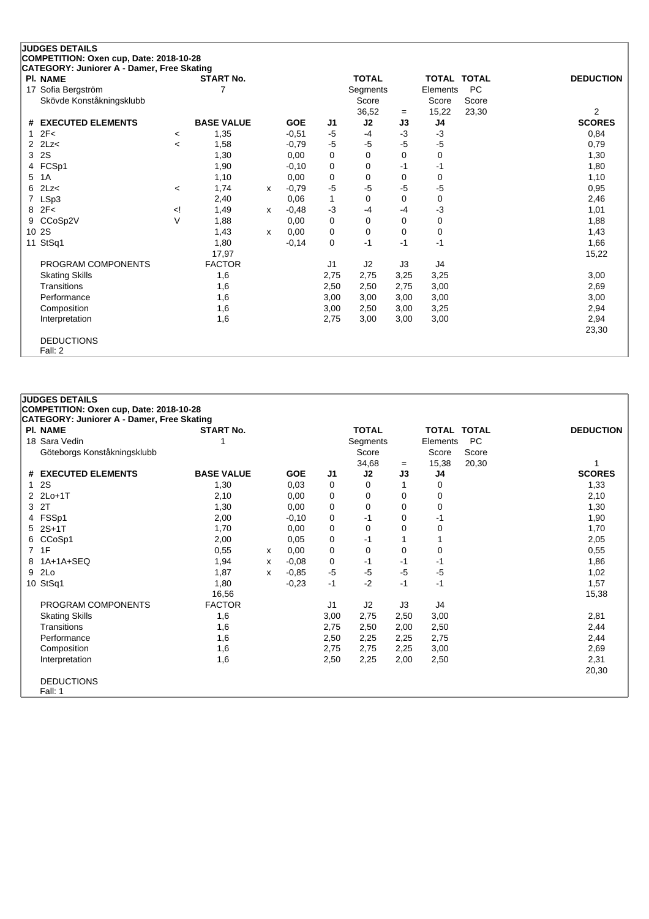| <b>JUDGES DETAILS</b>                                         |                                                                                                                                                                          |                   |              |            |      |              |             |          |                    |                  |
|---------------------------------------------------------------|--------------------------------------------------------------------------------------------------------------------------------------------------------------------------|-------------------|--------------|------------|------|--------------|-------------|----------|--------------------|------------------|
| COMPETITION: Oxen cup, Date: 2018-10-28                       |                                                                                                                                                                          |                   |              |            |      |              |             |          |                    |                  |
| CATEGORY: Juniorer A - Damer, Free Skating<br><b>PI. NAME</b> |                                                                                                                                                                          | <b>START No.</b>  |              |            |      | <b>TOTAL</b> |             |          | <b>TOTAL TOTAL</b> | <b>DEDUCTION</b> |
| 17 Sofia Bergström                                            |                                                                                                                                                                          | 7                 |              |            |      | Segments     |             | Elements | <b>PC</b>          |                  |
| Skövde Konståkningsklubb                                      |                                                                                                                                                                          |                   |              |            |      | Score        |             | Score    | Score              |                  |
|                                                               |                                                                                                                                                                          |                   |              |            |      | 36,52        | $=$         | 15,22    | 23,30              | $\overline{2}$   |
| <b>EXECUTED ELEMENTS</b><br>#                                 |                                                                                                                                                                          | <b>BASE VALUE</b> |              | <b>GOE</b> | J1   | J2           | J3          | J4       |                    | <b>SCORES</b>    |
| 2F<                                                           | $\,<\,$                                                                                                                                                                  | 1,35              |              | $-0,51$    | -5   | $-4$         | -3          | $-3$     |                    | 0,84             |
| 2Lz<<br>2                                                     | $\,<\,$                                                                                                                                                                  | 1,58              |              | $-0,79$    | $-5$ | $-5$         | $-5$        | $-5$     |                    | 0,79             |
| 2S<br>3                                                       |                                                                                                                                                                          | 1,30              |              | 0,00       | 0    | $\Omega$     | $\mathbf 0$ | 0        |                    | 1,30             |
| FCSp1<br>4                                                    |                                                                                                                                                                          | 1,90              |              | $-0,10$    | 0    | 0            | $-1$        | $-1$     |                    | 1,80             |
| 1A<br>5                                                       |                                                                                                                                                                          | 1,10              |              | 0,00       | 0    | 0            | $\mathbf 0$ | 0        |                    | 1,10             |
| 2Lz<<br>6                                                     | $\,<\,$                                                                                                                                                                  | 1,74              | $\mathsf{x}$ | $-0,79$    | $-5$ | -5           | -5          | -5       |                    | 0,95             |
| LSp3<br>7                                                     |                                                                                                                                                                          | 2,40              |              | 0,06       | 1    | $\Omega$     | $\Omega$    | 0        |                    | 2,46             |
| 2F<<br>8                                                      | </td <td>1,49</td> <td>x</td> <td><math>-0,48</math></td> <td><math>-3</math></td> <td><math>-4</math></td> <td>-4</td> <td><math>-3</math></td> <td></td> <td>1,01</td> | 1,49              | x            | $-0,48$    | $-3$ | $-4$         | -4          | $-3$     |                    | 1,01             |
| CCoSp2V<br>9                                                  | $\vee$                                                                                                                                                                   | 1,88              |              | 0,00       | 0    | $\Omega$     | $\Omega$    | 0        |                    | 1,88             |
| 2S<br>10                                                      |                                                                                                                                                                          | 1,43              | $\mathsf{x}$ | 0,00       | 0    | 0            | $\mathbf 0$ | 0        |                    | 1,43             |
| StSq1<br>11                                                   |                                                                                                                                                                          | 1,80              |              | $-0,14$    | 0    | $-1$         | $-1$        | $-1$     |                    | 1,66             |
|                                                               |                                                                                                                                                                          | 17,97             |              |            |      |              |             |          |                    | 15,22            |
| PROGRAM COMPONENTS                                            |                                                                                                                                                                          | <b>FACTOR</b>     |              |            | J1   | J2           | J3          | J4       |                    |                  |
| <b>Skating Skills</b>                                         |                                                                                                                                                                          | 1,6               |              |            | 2,75 | 2,75         | 3,25        | 3,25     |                    | 3,00             |
| Transitions                                                   |                                                                                                                                                                          | 1,6               |              |            | 2,50 | 2,50         | 2,75        | 3,00     |                    | 2,69             |
| Performance                                                   |                                                                                                                                                                          | 1,6               |              |            | 3,00 | 3,00         | 3,00        | 3,00     |                    | 3,00             |
| Composition                                                   |                                                                                                                                                                          | 1,6               |              |            | 3,00 | 2,50         | 3,00        | 3,25     |                    | 2,94             |
| Interpretation                                                |                                                                                                                                                                          | 1,6               |              |            | 2,75 | 3,00         | 3,00        | 3,00     |                    | 2,94             |
|                                                               |                                                                                                                                                                          |                   |              |            |      |              |             |          |                    | 23,30            |
| <b>DEDUCTIONS</b>                                             |                                                                                                                                                                          |                   |              |            |      |              |             |          |                    |                  |
| Fall: 2                                                       |                                                                                                                                                                          |                   |              |            |      |              |             |          |                    |                  |

| <b>JUDGES DETAILS</b><br>COMPETITION: Oxen cup, Date: 2018-10-28 |                   |   |            |      |              |          |                    |           |                  |
|------------------------------------------------------------------|-------------------|---|------------|------|--------------|----------|--------------------|-----------|------------------|
| <b>CATEGORY: Juniorer A - Damer, Free Skating</b>                |                   |   |            |      |              |          |                    |           |                  |
| <b>PI. NAME</b>                                                  | <b>START No.</b>  |   |            |      | <b>TOTAL</b> |          | <b>TOTAL TOTAL</b> |           | <b>DEDUCTION</b> |
| 18 Sara Vedin                                                    |                   |   |            |      | Segments     |          | Elements           | <b>PC</b> |                  |
| Göteborgs Konståkningsklubb                                      |                   |   |            |      | Score        |          | Score              | Score     |                  |
|                                                                  |                   |   |            |      | 34,68        | $=$      | 15,38              | 20,30     |                  |
| # EXECUTED ELEMENTS                                              | <b>BASE VALUE</b> |   | <b>GOE</b> | J1   | J2           | J3       | J4                 |           | <b>SCORES</b>    |
| 2S                                                               | 1,30              |   | 0,03       | 0    | 0            | 1        | 0                  |           | 1,33             |
| 2 2Lo+1T                                                         | 2,10              |   | 0,00       | 0    | 0            | 0        | 0                  |           | 2,10             |
| 3 2T                                                             | 1,30              |   | 0,00       | 0    | 0            | 0        | 0                  |           | 1,30             |
| 4 FSSp1                                                          | 2,00              |   | $-0,10$    | 0    | $-1$         | 0        | -1                 |           | 1,90             |
| 5 2S+1T                                                          | 1,70              |   | 0,00       | 0    | 0            | $\Omega$ | 0                  |           | 1,70             |
| 6 CCoSp1                                                         | 2,00              |   | 0,05       | 0    | -1           |          |                    |           | 2,05             |
| 7 1F                                                             | 0,55              | x | 0,00       | 0    | 0            | 0        | 0                  |           | 0,55             |
| 8 1A+1A+SEQ                                                      | 1,94              | x | $-0.08$    | 0    | -1           | -1       | -1                 |           | 1,86             |
| 9 2Lo                                                            | 1,87              | x | $-0.85$    | $-5$ | $-5$         | -5       | $-5$               |           | 1,02             |
| 10 StSq1                                                         | 1,80              |   | $-0,23$    | $-1$ | $-2$         | $-1$     | $-1$               |           | 1,57             |
|                                                                  | 16,56             |   |            |      |              |          |                    |           | 15,38            |
| PROGRAM COMPONENTS                                               | <b>FACTOR</b>     |   |            | J1   | J2           | J3       | J4                 |           |                  |
| <b>Skating Skills</b>                                            | 1,6               |   |            | 3,00 | 2,75         | 2,50     | 3,00               |           | 2,81             |
| Transitions                                                      | 1,6               |   |            | 2,75 | 2,50         | 2,00     | 2,50               |           | 2,44             |
| Performance                                                      | 1,6               |   |            | 2,50 | 2,25         | 2,25     | 2,75               |           | 2,44             |
| Composition                                                      | 1,6               |   |            | 2,75 | 2,75         | 2,25     | 3,00               |           | 2,69             |
| Interpretation                                                   | 1,6               |   |            | 2,50 | 2,25         | 2,00     | 2,50               |           | 2,31             |
|                                                                  |                   |   |            |      |              |          |                    |           | 20,30            |
| <b>DEDUCTIONS</b>                                                |                   |   |            |      |              |          |                    |           |                  |
| Fall: 1                                                          |                   |   |            |      |              |          |                    |           |                  |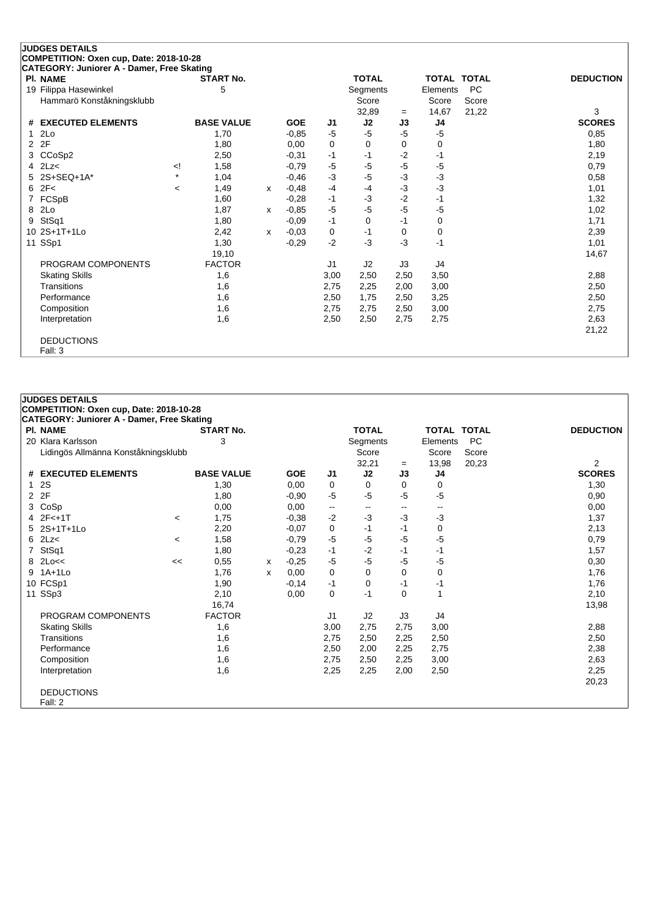|    | <b>JUDGES DETAILS</b>                                         |         |                   |   |            |      |              |      |                    |           |                  |
|----|---------------------------------------------------------------|---------|-------------------|---|------------|------|--------------|------|--------------------|-----------|------------------|
|    | COMPETITION: Oxen cup, Date: 2018-10-28                       |         |                   |   |            |      |              |      |                    |           |                  |
|    | CATEGORY: Juniorer A - Damer, Free Skating<br><b>PI. NAME</b> |         | <b>START No.</b>  |   |            |      | <b>TOTAL</b> |      | <b>TOTAL TOTAL</b> |           | <b>DEDUCTION</b> |
| 19 | Filippa Hasewinkel                                            |         | 5                 |   |            |      | Segments     |      | Elements           | <b>PC</b> |                  |
|    | Hammarö Konståkningsklubb                                     |         |                   |   |            |      | Score        |      | Score              | Score     |                  |
|    |                                                               |         |                   |   |            |      | 32,89        | $=$  | 14,67              | 21,22     | 3                |
| #  | <b>EXECUTED ELEMENTS</b>                                      |         | <b>BASE VALUE</b> |   | <b>GOE</b> | J1   | J2           | J3   | J4                 |           | <b>SCORES</b>    |
|    | 2Lo                                                           |         | 1,70              |   | $-0,85$    | $-5$ | $-5$         | $-5$ | $-5$               |           | 0,85             |
| 2  | 2F                                                            |         | 1,80              |   | 0,00       | 0    | 0            | 0    | 0                  |           | 1,80             |
| 3  | CCoSp2                                                        |         | 2,50              |   | $-0,31$    | $-1$ | -1           | $-2$ | $-1$               |           | 2,19             |
| 4  | 2Lz<                                                          | !>      | 1,58              |   | $-0,79$    | $-5$ | $-5$         | $-5$ | $-5$               |           | 0,79             |
|    | 2S+SEQ+1A*                                                    | $\star$ | 1,04              |   | $-0,46$    | $-3$ | $-5$         | $-3$ | $-3$               |           | 0,58             |
| 6  | 2F<                                                           | $\prec$ | 1,49              | x | $-0,48$    | $-4$ | $-4$         | $-3$ | -3                 |           | 1,01             |
|    | FCSpB                                                         |         | 1,60              |   | $-0,28$    | $-1$ | $-3$         | $-2$ | $-1$               |           | 1,32             |
| 8  | 2Lo                                                           |         | 1,87              | x | $-0,85$    | $-5$ | $-5$         | $-5$ | -5                 |           | 1,02             |
| 9  | StSq1                                                         |         | 1,80              |   | $-0,09$    | $-1$ | $\Omega$     | $-1$ | 0                  |           | 1,71             |
| 10 | 2S+1T+1Lo                                                     |         | 2,42              | x | $-0,03$    | 0    | $-1$         | 0    | 0                  |           | 2,39             |
|    | 11 SSp1                                                       |         | 1,30              |   | $-0,29$    | $-2$ | $-3$         | -3   | $-1$               |           | 1,01             |
|    |                                                               |         | 19,10             |   |            |      |              |      |                    |           | 14,67            |
|    | PROGRAM COMPONENTS                                            |         | <b>FACTOR</b>     |   |            | J1   | J2           | J3   | J4                 |           |                  |
|    | <b>Skating Skills</b>                                         |         | 1,6               |   |            | 3,00 | 2,50         | 2,50 | 3,50               |           | 2,88             |
|    | Transitions                                                   |         | 1,6               |   |            | 2,75 | 2,25         | 2,00 | 3,00               |           | 2,50             |
|    | Performance                                                   |         | 1,6               |   |            | 2,50 | 1,75         | 2,50 | 3,25               |           | 2,50             |
|    | Composition                                                   |         | 1,6               |   |            | 2,75 | 2,75         | 2,50 | 3,00               |           | 2,75             |
|    | Interpretation                                                |         | 1,6               |   |            | 2,50 | 2,50         | 2,75 | 2,75               |           | 2,63             |
|    |                                                               |         |                   |   |            |      |              |      |                    |           | 21,22            |
|    | <b>DEDUCTIONS</b>                                             |         |                   |   |            |      |              |      |                    |           |                  |
|    | Fall: 3                                                       |         |                   |   |            |      |              |      |                    |           |                  |

|              | <b>JUDGES DETAILS</b>                             |         |                   |   |            |                          |              |              |                    |           |                  |
|--------------|---------------------------------------------------|---------|-------------------|---|------------|--------------------------|--------------|--------------|--------------------|-----------|------------------|
|              | COMPETITION: Oxen cup, Date: 2018-10-28           |         |                   |   |            |                          |              |              |                    |           |                  |
|              | <b>CATEGORY: Juniorer A - Damer, Free Skating</b> |         |                   |   |            |                          |              |              |                    |           |                  |
|              | <b>PI. NAME</b>                                   |         | <b>START No.</b>  |   |            |                          | <b>TOTAL</b> |              | <b>TOTAL TOTAL</b> |           | <b>DEDUCTION</b> |
|              | 20 Klara Karlsson                                 |         | 3                 |   |            |                          | Segments     |              | Elements           | <b>PC</b> |                  |
|              | Lidingös Allmänna Konståkningsklubb               |         |                   |   |            |                          | Score        |              | Score              | Score     |                  |
|              |                                                   |         |                   |   |            |                          | 32,21        | $=$          | 13,98              | 20,23     | $\overline{2}$   |
|              | # EXECUTED ELEMENTS                               |         | <b>BASE VALUE</b> |   | <b>GOE</b> | J <sub>1</sub>           | J2           | J3           | J <sub>4</sub>     |           | <b>SCORES</b>    |
| $\mathbf{1}$ | <b>2S</b>                                         |         | 1,30              |   | 0,00       | 0                        | $\Omega$     | $\Omega$     | 0                  |           | 1,30             |
|              | 2 2F                                              |         | 1,80              |   | $-0.90$    | $-5$                     | $-5$         | $-5$         | $-5$               |           | 0,90             |
| 3            | CoSp                                              |         | 0,00              |   | 0,00       | $\overline{\phantom{a}}$ | $-$          | $\mathbf{u}$ | $- -$              |           | 0,00             |
|              | 4 2F<+1T                                          | $\,<\,$ | 1,75              |   | $-0.38$    | $-2$                     | $-3$         | $-3$         | -3                 |           | 1,37             |
|              | 5 2S+1T+1Lo                                       |         | 2,20              |   | $-0.07$    | 0                        | -1           | -1           | 0                  |           | 2,13             |
|              | $6$ 2Lz $<$                                       | $\,<\,$ | 1,58              |   | $-0,79$    | $-5$                     | $-5$         | $-5$         | -5                 |           | 0,79             |
|              | StSq1                                             |         | 1,80              |   | $-0.23$    | -1                       | $-2$         | -1           | -1                 |           | 1,57             |
|              | 8 2Lo<<                                           | <<      | 0,55              | х | $-0,25$    | $-5$                     | $-5$         | -5           | -5                 |           | 0,30             |
| 9            | $1A+1L0$                                          |         | 1,76              | х | 0,00       | 0                        | 0            | 0            | 0                  |           | 1,76             |
|              | 10 FCSp1                                          |         | 1,90              |   | $-0,14$    | $-1$                     | 0            | -1           | -1                 |           | 1,76             |
|              | 11 SSp3                                           |         | 2,10              |   | 0,00       | 0                        | $-1$         | $\Omega$     | 1                  |           | 2,10             |
|              |                                                   |         | 16,74             |   |            |                          |              |              |                    |           | 13,98            |
|              | PROGRAM COMPONENTS                                |         | <b>FACTOR</b>     |   |            | J <sub>1</sub>           | J2           | J3           | J4                 |           |                  |
|              | <b>Skating Skills</b>                             |         | 1,6               |   |            | 3,00                     | 2,75         | 2,75         | 3,00               |           | 2,88             |
|              | Transitions                                       |         | 1,6               |   |            | 2,75                     | 2,50         | 2,25         | 2,50               |           | 2,50             |
|              | Performance                                       |         | 1,6               |   |            | 2,50                     | 2,00         | 2,25         | 2,75               |           | 2,38             |
|              | Composition                                       |         | 1,6               |   |            | 2,75                     | 2,50         | 2,25         | 3,00               |           | 2,63             |
|              | Interpretation                                    |         | 1,6               |   |            | 2,25                     | 2,25         | 2,00         | 2,50               |           | 2,25             |
|              |                                                   |         |                   |   |            |                          |              |              |                    |           | 20,23            |
|              | <b>DEDUCTIONS</b>                                 |         |                   |   |            |                          |              |              |                    |           |                  |
|              | Fall: 2                                           |         |                   |   |            |                          |              |              |                    |           |                  |